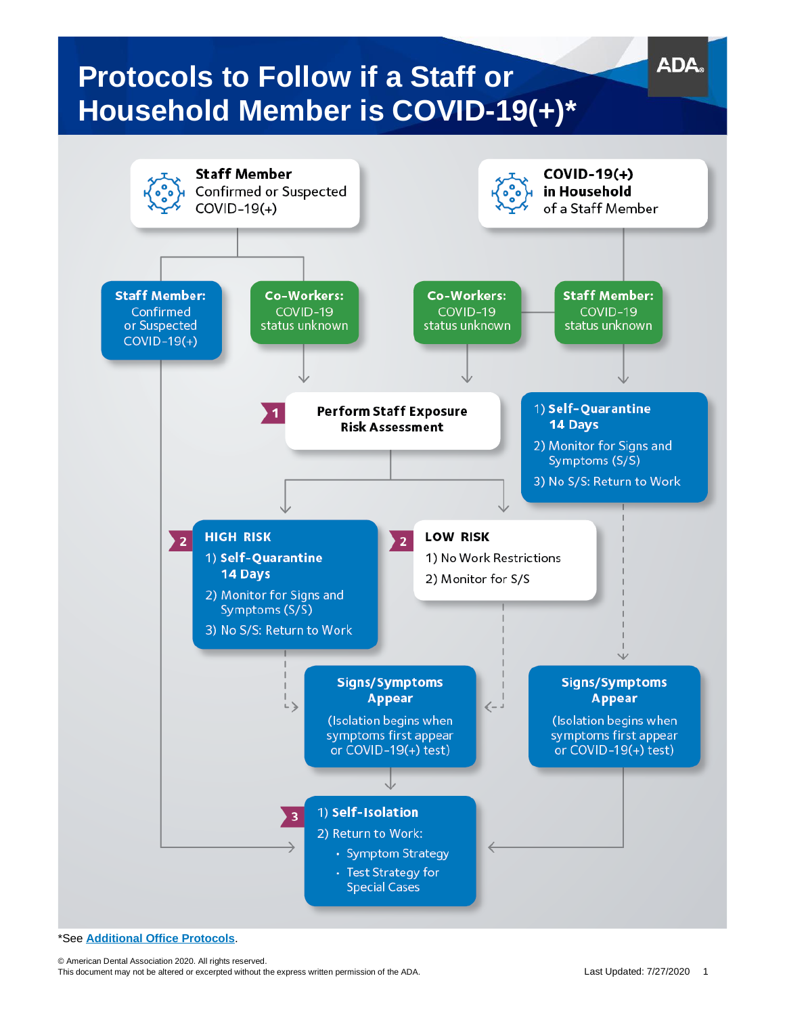

\*See **[Additional Office Protocols](#page-3-0)**.

© American Dental Association 2020. All rights reserved. This document may not be altered or excerpted without the express written permission of the ADA. Last Updated: 7/27/2020 1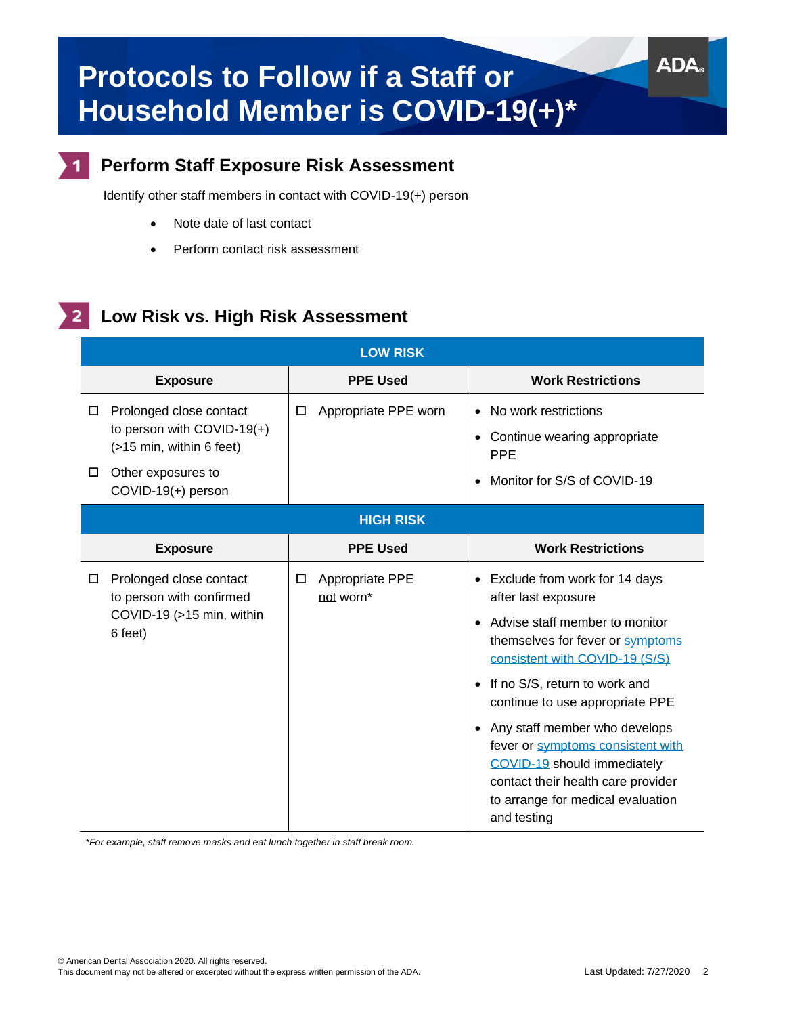

## **Perform Staff Exposure Risk Assessment**

Identify other staff members in contact with COVID-19(+) person

- Note date of last contact
- Perform contact risk assessment

#### **Low Risk vs. High Risk Assessment**  $\mathbf{2}$

| <b>LOW RISK</b>                                                                                                                         |                                   |                                                                                                                                                                                                                                                                                                                                                                                                                                   |  |  |
|-----------------------------------------------------------------------------------------------------------------------------------------|-----------------------------------|-----------------------------------------------------------------------------------------------------------------------------------------------------------------------------------------------------------------------------------------------------------------------------------------------------------------------------------------------------------------------------------------------------------------------------------|--|--|
| <b>Exposure</b>                                                                                                                         | <b>PPE Used</b>                   | <b>Work Restrictions</b>                                                                                                                                                                                                                                                                                                                                                                                                          |  |  |
| Prolonged close contact<br>□<br>to person with COVID-19(+)<br>(>15 min, within 6 feet)<br>Other exposures to<br>□<br>COVID-19(+) person | Appropriate PPE worn<br>□         | No work restrictions<br>$\bullet$<br>Continue wearing appropriate<br><b>PPE</b><br>Monitor for S/S of COVID-19                                                                                                                                                                                                                                                                                                                    |  |  |
| <b>HIGH RISK</b>                                                                                                                        |                                   |                                                                                                                                                                                                                                                                                                                                                                                                                                   |  |  |
| <b>Exposure</b>                                                                                                                         | <b>PPE Used</b>                   | <b>Work Restrictions</b>                                                                                                                                                                                                                                                                                                                                                                                                          |  |  |
| Prolonged close contact<br>□<br>to person with confirmed<br>COVID-19 (>15 min, within<br>6 feet)                                        | Appropriate PPE<br>□<br>not worn* | • Exclude from work for 14 days<br>after last exposure<br>Advise staff member to monitor<br>themselves for fever or symptoms<br>consistent with COVID-19 (S/S)<br>If no S/S, return to work and<br>continue to use appropriate PPE<br>Any staff member who develops<br>fever or symptoms consistent with<br>COVID-19 should immediately<br>contact their health care provider<br>to arrange for medical evaluation<br>and testing |  |  |

*\*For example, staff remove masks and eat lunch together in staff break room.*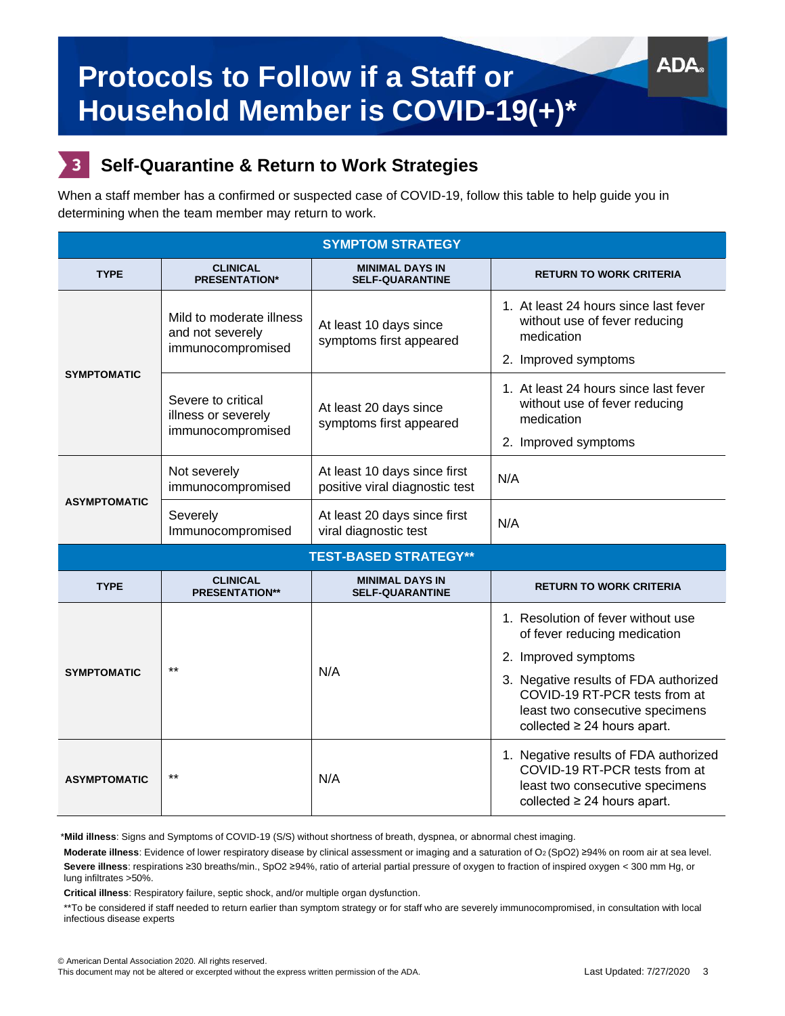# 3

## **Self-Quarantine & Return to Work Strategies**

When a staff member has a confirmed or suspected case of COVID-19, follow this table to help guide you in determining when the team member may return to work.

| <b>SYMPTOM STRATEGY</b>      |                                                                   |                                                                |                                                                                                                                                                                                                                             |  |  |  |
|------------------------------|-------------------------------------------------------------------|----------------------------------------------------------------|---------------------------------------------------------------------------------------------------------------------------------------------------------------------------------------------------------------------------------------------|--|--|--|
| <b>TYPE</b>                  | <b>CLINICAL</b><br><b>PRESENTATION*</b>                           | <b>MINIMAL DAYS IN</b><br><b>SELF-QUARANTINE</b>               | <b>RETURN TO WORK CRITERIA</b>                                                                                                                                                                                                              |  |  |  |
| <b>SYMPTOMATIC</b>           | Mild to moderate illness<br>and not severely<br>immunocompromised | At least 10 days since<br>symptoms first appeared              | 1. At least 24 hours since last fever<br>without use of fever reducing<br>medication<br>2. Improved symptoms                                                                                                                                |  |  |  |
|                              | Severe to critical<br>illness or severely<br>immunocompromised    | At least 20 days since<br>symptoms first appeared              | 1. At least 24 hours since last fever<br>without use of fever reducing<br>medication<br>2. Improved symptoms                                                                                                                                |  |  |  |
| <b>ASYMPTOMATIC</b>          | Not severely<br>immunocompromised                                 | At least 10 days since first<br>positive viral diagnostic test | N/A                                                                                                                                                                                                                                         |  |  |  |
|                              | Severely<br>Immunocompromised                                     | At least 20 days since first<br>viral diagnostic test          | N/A                                                                                                                                                                                                                                         |  |  |  |
| <b>TEST-BASED STRATEGY**</b> |                                                                   |                                                                |                                                                                                                                                                                                                                             |  |  |  |
| <b>TYPE</b>                  | <b>CLINICAL</b><br><b>PRESENTATION**</b>                          | <b>MINIMAL DAYS IN</b><br><b>SELF-QUARANTINE</b>               | <b>RETURN TO WORK CRITERIA</b>                                                                                                                                                                                                              |  |  |  |
| <b>SYMPTOMATIC</b>           | $***$                                                             | N/A                                                            | 1. Resolution of fever without use<br>of fever reducing medication<br>2. Improved symptoms<br>3. Negative results of FDA authorized<br>COVID-19 RT-PCR tests from at<br>least two consecutive specimens<br>collected $\geq$ 24 hours apart. |  |  |  |
| <b>ASYMPTOMATIC</b>          | $***$                                                             | N/A                                                            | 1. Negative results of FDA authorized<br>COVID-19 RT-PCR tests from at<br>least two consecutive specimens<br>collected $\geq$ 24 hours apart.                                                                                               |  |  |  |

\***Mild illness**: Signs and Symptoms of COVID-19 (S/S) without shortness of breath, dyspnea, or abnormal chest imaging.

Moderate illness: Evidence of lower respiratory disease by clinical assessment or imaging and a saturation of O2 (SpO2) ≥94% on room air at sea level. **Severe illness**: respirations ≥30 breaths/min., SpO2 ≥94%, ratio of arterial partial pressure of oxygen to fraction of inspired oxygen < 300 mm Hg, or lung infiltrates >50%.

**Critical illness**: Respiratory failure, septic shock, and/or multiple organ dysfunction.

\*\*To be considered if staff needed to return earlier than symptom strategy or for staff who are severely immunocompromised, in consultation with local infectious disease experts

AD/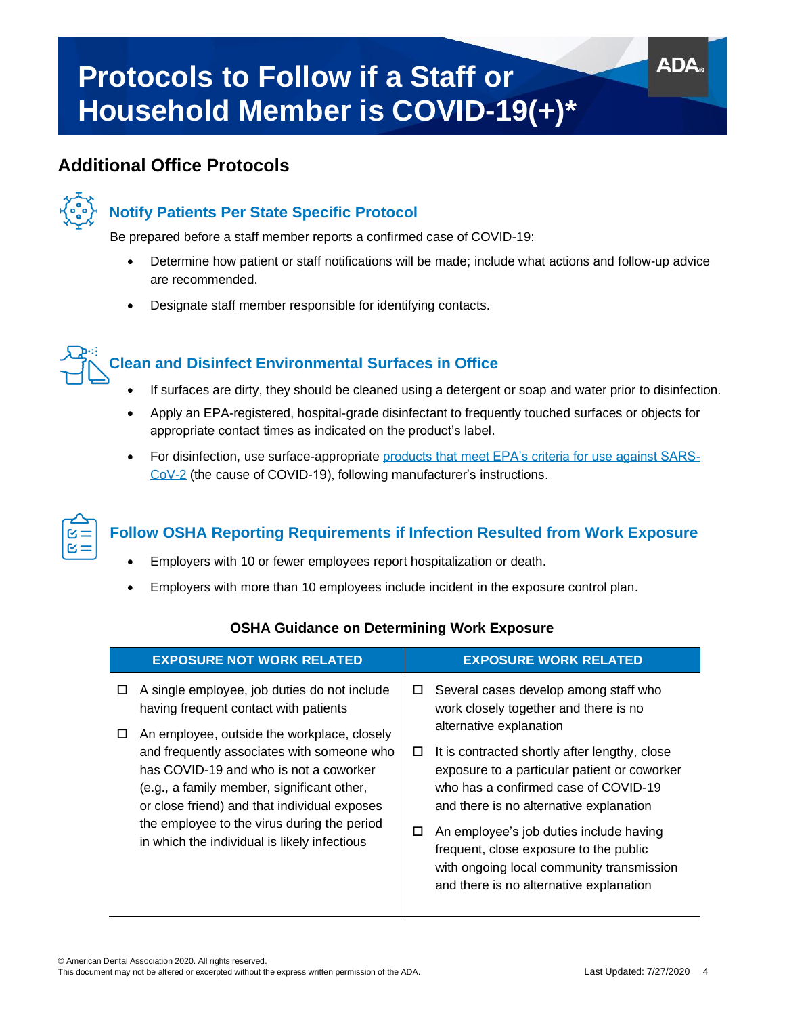## **Additional Office Protocols**

<span id="page-3-0"></span>

## **Notify Patients Per State Specific Protocol**

Be prepared before a staff member reports a confirmed case of COVID-19:

- Determine how patient or staff notifications will be made; include what actions and follow-up advice are recommended.
- Designate staff member responsible for identifying contacts.



### **Clean and Disinfect Environmental Surfaces in Office**

- If surfaces are dirty, they should be cleaned using a detergent or soap and water prior to disinfection.
- Apply an EPA-registered, hospital-grade disinfectant to frequently touched surfaces or objects for appropriate contact times as indicated on the product's label.
- For disinfection, use surface-appropriate [products that meet EPA's criteria for use against SARS-](https://www.cdc.gov/coronavirus/2019-ncov/hcp/dental-settings.html#EnvironmentalInfectionControl%20)[CoV-2](https://www.cdc.gov/coronavirus/2019-ncov/hcp/dental-settings.html#EnvironmentalInfectionControl%20) (the cause of COVID-19), following manufacturer's instructions.



## **Follow OSHA Reporting Requirements if Infection Resulted from Work Exposure**

- Employers with 10 or fewer employees report hospitalization or death.
- Employers with more than 10 employees include incident in the exposure control plan.

|        | <b>EXPOSURE NOT WORK RELATED</b>                                                                                                                                                                                                                                                                                                                                                                                          |             | <b>EXPOSURE WORK RELATED</b>                                                                                                                                                                                                                                                                                                                                                                                                                                               |
|--------|---------------------------------------------------------------------------------------------------------------------------------------------------------------------------------------------------------------------------------------------------------------------------------------------------------------------------------------------------------------------------------------------------------------------------|-------------|----------------------------------------------------------------------------------------------------------------------------------------------------------------------------------------------------------------------------------------------------------------------------------------------------------------------------------------------------------------------------------------------------------------------------------------------------------------------------|
| П<br>□ | A single employee, job duties do not include<br>having frequent contact with patients<br>An employee, outside the workplace, closely<br>and frequently associates with someone who<br>has COVID-19 and who is not a coworker<br>(e.g., a family member, significant other,<br>or close friend) and that individual exposes<br>the employee to the virus during the period<br>in which the individual is likely infectious | □<br>□<br>П | Several cases develop among staff who<br>work closely together and there is no<br>alternative explanation<br>It is contracted shortly after lengthy, close<br>exposure to a particular patient or coworker<br>who has a confirmed case of COVID-19<br>and there is no alternative explanation<br>An employee's job duties include having<br>frequent, close exposure to the public<br>with ongoing local community transmission<br>and there is no alternative explanation |
|        |                                                                                                                                                                                                                                                                                                                                                                                                                           |             |                                                                                                                                                                                                                                                                                                                                                                                                                                                                            |

### **OSHA Guidance on Determining Work Exposure**